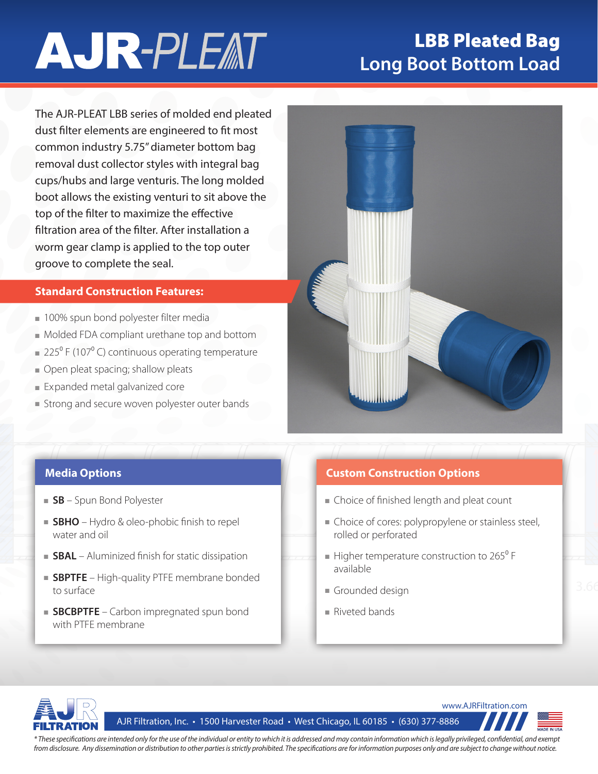# **AJR-PLEAT**

## LBB Pleated Bag **Long Boot Bottom Load**

The AJR-PLEAT LBB series of molded end pleated dust filter elements are engineered to fit most common industry 5.75" diameter bottom bag removal dust collector styles with integral bag cups/hubs and large venturis. The long molded boot allows the existing venturi to sit above the top of the filter to maximize the effective filtration area of the filter. After installation a worm gear clamp is applied to the top outer groove to complete the seal.

#### **Standard Construction Features:**

- 100% spun bond polyester filter media
- Molded FDA compliant urethane top and bottom
- $\approx 225^{\circ}$  F (107 $^{\circ}$  C) continuous operating temperature
- Open pleat spacing; shallow pleats
- Expanded metal galvanized core
- Strong and secure woven polyester outer bands



- **SB** Spun Bond Polyester
- **SBHO** Hydro & oleo-phobic finish to repel water and oil
- **SBAL** Aluminized finish for static dissipation
- **SBPTFE** High-quality PTFE membrane bonded to surface
- **SBCBPTFE** Carbon impregnated spun bond with PTFE membrane

### **Media Options Custom Construction Options**

- Choice of finished length and pleat count
- Choice of cores: polypropylene or stainless steel, rolled or perforated
- available  $\blacksquare$  Higher temperature construction to 265 $\rm{^0}$  F
- Grounded design
- Riveted bands



AJR Filtration, Inc. • 1500 Harvester Road • West Chicago, IL 60185 • (630) 377-8886



*\* These specifications are intended only for the use of the individual or entity to which it is addressed and may contain information which is legally privileged, confidential, and exempt from disclosure. Any dissemination or distribution to other parties is strictly prohibited. The specifications are for information purposes only and are subject to change without notice.*